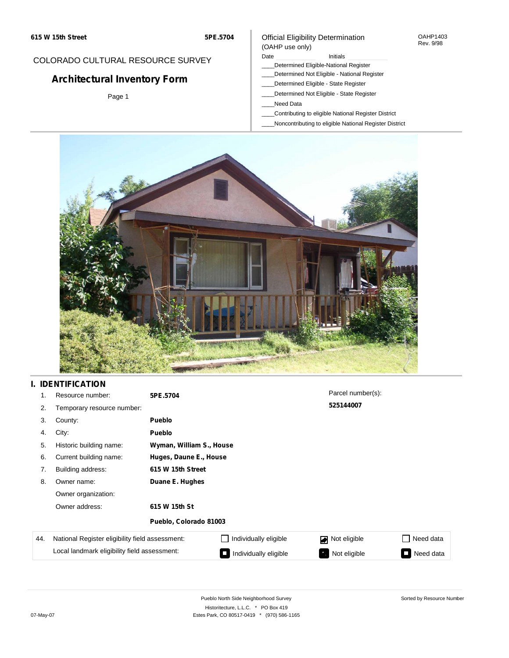#### OAHP1403 Rev. 9/98

## COLORADO CULTURAL RESOURCE SURVEY

# **Architectural Inventory Form**

Page 1

### (OAHP use only) Date **Initials** Initials

Official Eligibility Determination

- \_\_\_\_Determined Eligible-National Register
- \_\_\_\_Determined Not Eligible National Register
- \_\_\_\_Determined Eligible State Register
- \_\_\_\_Determined Not Eligible State Register
- \_\_\_\_Need Data
- \_\_\_\_Contributing to eligible National Register District
- \_\_\_\_Noncontributing to eligible National Register District



## **I. IDENTIFICATION**

| 1.  | Resource number:                                | 5PE.5704                 |                              | Parcel number(s): |           |  |  |  |  |
|-----|-------------------------------------------------|--------------------------|------------------------------|-------------------|-----------|--|--|--|--|
| 2.  | Temporary resource number:                      |                          |                              | 525144007         |           |  |  |  |  |
| 3.  | County:                                         | <b>Pueblo</b>            |                              |                   |           |  |  |  |  |
| 4.  | City:                                           | <b>Pueblo</b>            |                              |                   |           |  |  |  |  |
| 5.  | Historic building name:                         | Wyman, William S., House |                              |                   |           |  |  |  |  |
| 6.  | Current building name:                          |                          | Huges, Daune E., House       |                   |           |  |  |  |  |
| 7.  | Building address:                               | 615 W 15th Street        |                              |                   |           |  |  |  |  |
| 8.  | Owner name:                                     | Duane E. Hughes          |                              |                   |           |  |  |  |  |
|     | Owner organization:                             |                          |                              |                   |           |  |  |  |  |
|     | Owner address:                                  | 615 W 15th St            |                              |                   |           |  |  |  |  |
|     |                                                 | Pueblo, Colorado 81003   |                              |                   |           |  |  |  |  |
| 44. | National Register eligibility field assessment: |                          | $\Box$ Individually eligible | Not eligible<br>◪ | Need data |  |  |  |  |
|     | Local landmark eligibility field assessment:    |                          | Individually eligible        | Not eligible      | Need data |  |  |  |  |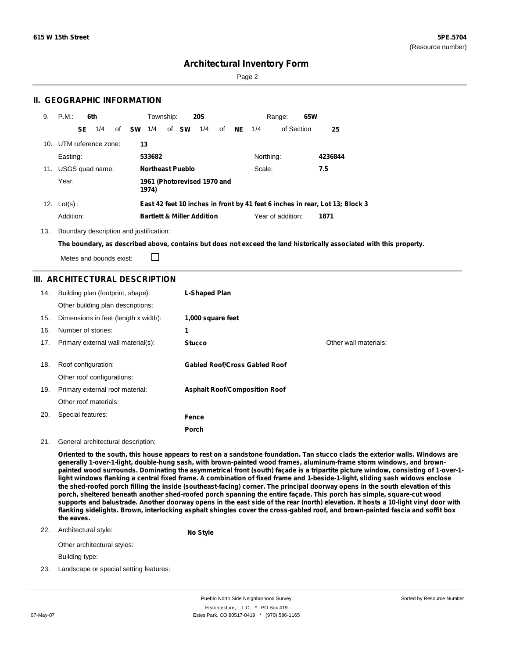Page 2

## **II. GEOGRAPHIC INFORMATION**

| 9.  | P.M.           |    | 6th                 |    |      |        | Township: |                         | <b>20S</b>                            |    |    |           | 65W<br>Range:     |                                                                              |  |
|-----|----------------|----|---------------------|----|------|--------|-----------|-------------------------|---------------------------------------|----|----|-----------|-------------------|------------------------------------------------------------------------------|--|
|     |                | SE | 1/4                 | of | – SW | 1/4    |           | of <b>SW</b>            | 1/4                                   | of | NE | 1/4       | of Section        | 25                                                                           |  |
| 10. |                |    | UTM reference zone: |    |      | 13     |           |                         |                                       |    |    |           |                   |                                                                              |  |
|     | Easting:       |    |                     |    |      | 533682 |           |                         |                                       |    |    | Northing: |                   | 4236844                                                                      |  |
| 11. |                |    | USGS quad name:     |    |      |        |           | <b>Northeast Pueblo</b> |                                       |    |    | Scale:    |                   | 7.5                                                                          |  |
|     | Year:          |    |                     |    |      | 1974)  |           |                         | 1961 (Photorevised 1970 and           |    |    |           |                   |                                                                              |  |
|     | 12. $Lot(s)$ : |    |                     |    |      |        |           |                         |                                       |    |    |           |                   | East 42 feet 10 inches in front by 41 feet 6 inches in rear, Lot 13; Block 3 |  |
|     | Addition:      |    |                     |    |      |        |           |                         | <b>Bartlett &amp; Miller Addition</b> |    |    |           | Year of addition: | 1871                                                                         |  |

13. Boundary description and justification:

The boundary, as described above, contains but does not exceed the land historically associated with this property.

Metes and bounds exist:

 $\Box$ 

## **III. ARCHITECTURAL DESCRIPTION**

| 14. | Building plan (footprint, shape):<br>Other building plan descriptions: | L-Shaped Plan                        |                       |
|-----|------------------------------------------------------------------------|--------------------------------------|-----------------------|
| 15. | Dimensions in feet (length x width):                                   | 1,000 square feet                    |                       |
| 16. | Number of stories:                                                     | 1                                    |                       |
| 17. | Primary external wall material(s):                                     | <b>Stucco</b>                        | Other wall materials: |
|     |                                                                        |                                      |                       |
| 18. | Roof configuration:                                                    | <b>Gabled Roof/Cross Gabled Roof</b> |                       |
|     | Other roof configurations:                                             |                                      |                       |
| 19. | Primary external roof material:                                        | <b>Asphalt Roof/Composition Roof</b> |                       |
|     | Other roof materials:                                                  |                                      |                       |
| 20. | Special features:                                                      | Fence                                |                       |
|     |                                                                        | Porch                                |                       |

#### 21. General architectural description:

Oriented to the south, this house appears to rest on a sandstone foundation. Tan stucco clads the exterior walls. Windows are **generally 1-over-1-light, double-hung sash, with brown-painted wood frames, aluminum-frame storm windows, and brown**painted wood surrounds. Dominating the asymmetrical front (south) façade is a tripartite picture window, consisting of 1-over-1light windows flanking a central fixed frame. A combination of fixed frame and 1-beside-1-light, sliding sash widows enclose the shed-roofed porch filling the inside (southeast-facing) corner. The principal doorway opens in the south elevation of this porch, sheltered beneath another shed-roofed porch spanning the entire façade. This porch has simple, square-cut wood supports and balustrade. Another doorway opens in the east side of the rear (north) elevation. It hosts a 10-light vinyl door with flanking sidelights. Brown, interlocking asphalt shingles cover the cross-gabled roof, and brown-painted fascia and soffit box **the eaves.**

#### 22. Architectural style: **No Style**

Other architectural styles:

Building type:

23. Landscape or special setting features: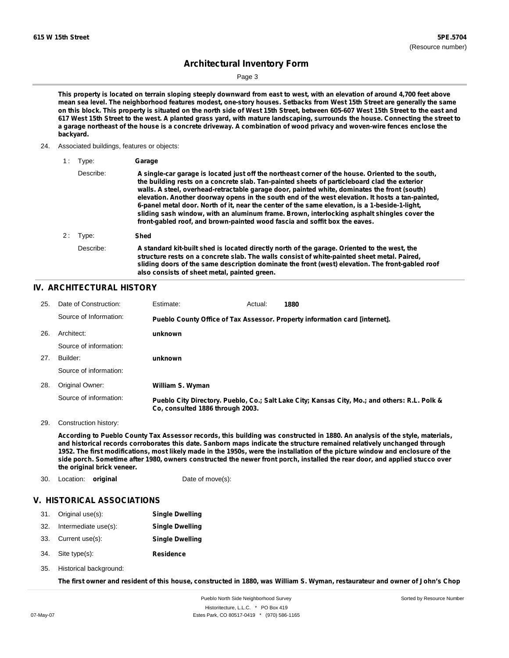Page 3

This property is located on terrain sloping steeply downward from east to west, with an elevation of around 4,700 feet above mean sea level. The neighborhood features modest, one-story houses. Setbacks from West 15th Street are generally the same on this block. This property is situated on the north side of West 15th Street, between 605-607 West 15th Street to the east and 617 West 15th Street to the west. A planted grass yard, with mature landscaping, surrounds the house. Connecting the street to a garage northeast of the house is a concrete driveway. A combination of wood privacy and woven-wire fences enclose the **backyard.**

24. Associated buildings, features or objects:

| 1 : | Tvpe:     | Garage                                                                                                                                                                                                                                                                                                                                                                                                                                                                                                                                                                                                                                                                               |
|-----|-----------|--------------------------------------------------------------------------------------------------------------------------------------------------------------------------------------------------------------------------------------------------------------------------------------------------------------------------------------------------------------------------------------------------------------------------------------------------------------------------------------------------------------------------------------------------------------------------------------------------------------------------------------------------------------------------------------|
|     | Describe: | A single-car garage is located just off the northeast corner of the house. Oriented to the south,<br>the building rests on a concrete slab. Tan-painted sheets of particleboard clad the exterior<br>walls. A steel, overhead-retractable garage door, painted white, dominates the front (south)<br>elevation. Another doorway opens in the south end of the west elevation. It hosts a tan-painted.<br>6-panel metal door. North of it, near the center of the same elevation, is a 1-beside-1-light,<br>sliding sash window, with an aluminum frame. Brown, interlocking asphalt shingles cover the<br>front-gabled roof, and brown-painted wood fascia and soffit box the eaves. |
|     | 2: Type:  | Shed                                                                                                                                                                                                                                                                                                                                                                                                                                                                                                                                                                                                                                                                                 |
|     | Describe: | A standard kit-built shed is located directly north of the garage. Oriented to the west, the<br>structure rests on a concrete slab. The walls consist of white-painted sheet metal. Paired,<br>sliding doors of the same description dominate the front (west) elevation. The front-gabled roof<br>also consists of sheet metal, painted green.                                                                                                                                                                                                                                                                                                                                      |

## **IV. ARCHITECTURAL HISTORY**

| 25. | Date of Construction:  | Estimate:                        | Actual: | 1880                                                                                          |
|-----|------------------------|----------------------------------|---------|-----------------------------------------------------------------------------------------------|
|     | Source of Information: |                                  |         | Pueblo County Office of Tax Assessor. Property information card [internet].                   |
| 26. | Architect:             | unknown                          |         |                                                                                               |
|     | Source of information: |                                  |         |                                                                                               |
| 27. | Builder:               | unknown                          |         |                                                                                               |
|     | Source of information: |                                  |         |                                                                                               |
| 28. | Original Owner:        | William S. Wyman                 |         |                                                                                               |
|     | Source of information: | Co. consulted 1886 through 2003. |         | Pueblo City Directory. Pueblo, Co.; Salt Lake City; Kansas City, Mo.; and others: R.L. Polk & |

29. Construction history:

According to Pueblo County Tax Assessor records, this building was constructed in 1880. An analysis of the style, materials, and historical records corroborates this date. Sanborn maps indicate the structure remained relatively unchanged through 1952. The first modifications, most likely made in the 1950s, were the installation of the picture window and enclosure of the side porch. Sometime after 1980, owners constructed the newer front porch, installed the rear door, and applied stucco over **the original brick veneer.**

30. Location: **original** Date of move(s):

### **V. HISTORICAL ASSOCIATIONS**

| 31. Original use(s): | <b>Single Dwelling</b> |
|----------------------|------------------------|
| Intermediate use(s): | <b>Single Dwelling</b> |
| 33. Current use(s):  | <b>Single Dwelling</b> |
|                      |                        |

- **Residence** Site type(s): 34.
- 35. Historical background:

The first owner and resident of this house, constructed in 1880, was William S. Wyman, restaurateur and owner of John's Chop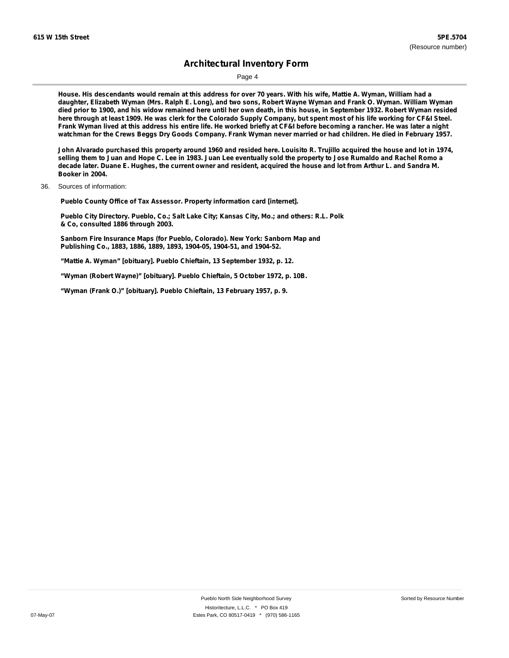Page 4

House. His descendants would remain at this address for over 70 years. With his wife, Mattie A. Wyman, William had a daughter, Elizabeth Wyman (Mrs. Ralph E. Long), and two sons, Robert Wayne Wyman and Frank O. Wyman. William Wyman died prior to 1900, and his widow remained here until her own death, in this house, in September 1932. Robert Wyman resided here through at least 1909. He was clerk for the Colorado Supply Company, but spent most of his life working for CF&I Steel. Frank Wyman lived at this address his entire life. He worked briefly at CF&I before becoming a rancher. He was later a night watchman for the Crews Beggs Dry Goods Company. Frank Wyman never married or had children. He died in February 1957.

John Alvarado purchased this property around 1960 and resided here. Louisito R. Trujillo acquired the house and lot in 1974, selling them to Juan and Hope C. Lee in 1983. Juan Lee eventually sold the property to Jose Rumaldo and Rachel Romo a decade later. Duane E. Hughes, the current owner and resident, acquired the house and lot from Arthur L. and Sandra M. **Booker in 2004.**

36. Sources of information:

**Pueblo County Office of Tax Assessor. Property information card [internet].**

**Pueblo City Directory. Pueblo, Co.; Salt Lake City; Kansas City, Mo.; and others: R.L. Polk & Co, consulted 1886 through 2003.**

**Sanborn Fire Insurance Maps (for Pueblo, Colorado). New York: Sanborn Map and Publishing Co., 1883, 1886, 1889, 1893, 1904-05, 1904-51, and 1904-52.**

**"Mattie A. Wyman" [obituary]. Pueblo Chieftain, 13 September 1932, p. 12.**

**"Wyman (Robert Wayne)" [obituary]. Pueblo Chieftain, 5 October 1972, p. 10B.**

**"Wyman (Frank O.)" [obituary]. Pueblo Chieftain, 13 February 1957, p. 9.**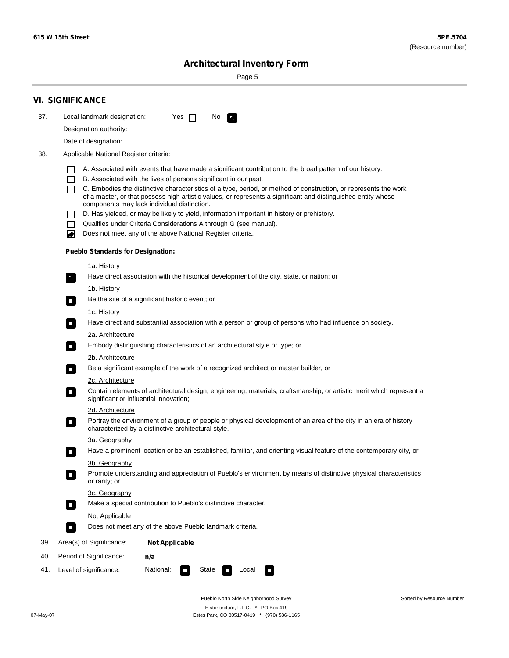Sorted by Resource Number

# **Architectural Inventory Form**

Page 5

|                                               | <b>VI. SIGNIFICANCE</b>                                                                                                                                                           |  |  |  |  |  |  |  |
|-----------------------------------------------|-----------------------------------------------------------------------------------------------------------------------------------------------------------------------------------|--|--|--|--|--|--|--|
| 37.                                           | Local landmark designation:<br>Yes $\Box$<br>No.<br>$\mathbf{F}_{\mathbf{r}}$                                                                                                     |  |  |  |  |  |  |  |
|                                               | Designation authority:                                                                                                                                                            |  |  |  |  |  |  |  |
|                                               | Date of designation:                                                                                                                                                              |  |  |  |  |  |  |  |
| 38.<br>Applicable National Register criteria: |                                                                                                                                                                                   |  |  |  |  |  |  |  |
|                                               | A. Associated with events that have made a significant contribution to the broad pattern of our history.                                                                          |  |  |  |  |  |  |  |
|                                               | B. Associated with the lives of persons significant in our past.<br>$\blacksquare$                                                                                                |  |  |  |  |  |  |  |
|                                               | C. Embodies the distinctive characteristics of a type, period, or method of construction, or represents the work<br>П                                                             |  |  |  |  |  |  |  |
|                                               | of a master, or that possess high artistic values, or represents a significant and distinguished entity whose<br>components may lack individual distinction.                      |  |  |  |  |  |  |  |
|                                               | D. Has yielded, or may be likely to yield, information important in history or prehistory.                                                                                        |  |  |  |  |  |  |  |
|                                               | Qualifies under Criteria Considerations A through G (see manual).<br>$\sim$                                                                                                       |  |  |  |  |  |  |  |
|                                               | Does not meet any of the above National Register criteria.<br>₩                                                                                                                   |  |  |  |  |  |  |  |
|                                               | <b>Pueblo Standards for Designation:</b>                                                                                                                                          |  |  |  |  |  |  |  |
|                                               | 1a. History                                                                                                                                                                       |  |  |  |  |  |  |  |
|                                               | $\overline{\mathbf{r}}_1$<br>Have direct association with the historical development of the city, state, or nation; or                                                            |  |  |  |  |  |  |  |
|                                               | <u>1b. History</u>                                                                                                                                                                |  |  |  |  |  |  |  |
|                                               | Be the site of a significant historic event; or<br>$\overline{\phantom{a}}$                                                                                                       |  |  |  |  |  |  |  |
|                                               | 1c. History                                                                                                                                                                       |  |  |  |  |  |  |  |
|                                               | Have direct and substantial association with a person or group of persons who had influence on society.<br>$\overline{\phantom{a}}$                                               |  |  |  |  |  |  |  |
|                                               | 2a. Architecture<br>Embody distinguishing characteristics of an architectural style or type; or                                                                                   |  |  |  |  |  |  |  |
|                                               | $\Box$                                                                                                                                                                            |  |  |  |  |  |  |  |
|                                               | 2b. Architecture<br>Be a significant example of the work of a recognized architect or master builder, or<br>$\Box$                                                                |  |  |  |  |  |  |  |
|                                               | 2c. Architecture                                                                                                                                                                  |  |  |  |  |  |  |  |
|                                               | Contain elements of architectural design, engineering, materials, craftsmanship, or artistic merit which represent a<br>$\Box$<br>significant or influential innovation;          |  |  |  |  |  |  |  |
|                                               | 2d. Architecture                                                                                                                                                                  |  |  |  |  |  |  |  |
|                                               | Portray the environment of a group of people or physical development of an area of the city in an era of history<br>$\Box$<br>characterized by a distinctive architectural style. |  |  |  |  |  |  |  |
|                                               | 3a. Geography                                                                                                                                                                     |  |  |  |  |  |  |  |
|                                               | Have a prominent location or be an established, familiar, and orienting visual feature of the contemporary city, or                                                               |  |  |  |  |  |  |  |
|                                               | 3b. Geography                                                                                                                                                                     |  |  |  |  |  |  |  |
|                                               | Promote understanding and appreciation of Pueblo's environment by means of distinctive physical characteristics<br>or rarity; or                                                  |  |  |  |  |  |  |  |
|                                               | 3c. Geography                                                                                                                                                                     |  |  |  |  |  |  |  |
|                                               | Make a special contribution to Pueblo's distinctive character.<br>$\overline{\phantom{a}}$                                                                                        |  |  |  |  |  |  |  |
|                                               | <b>Not Applicable</b><br>Does not meet any of the above Pueblo landmark criteria.                                                                                                 |  |  |  |  |  |  |  |
|                                               | $\overline{\phantom{a}}$                                                                                                                                                          |  |  |  |  |  |  |  |
| 39.                                           | Area(s) of Significance:<br><b>Not Applicable</b>                                                                                                                                 |  |  |  |  |  |  |  |
| 40.                                           | Period of Significance:<br>n/a                                                                                                                                                    |  |  |  |  |  |  |  |
| 41.                                           | Level of significance:<br>National:<br>State<br>Local<br>$\Box$<br>$\sim$                                                                                                         |  |  |  |  |  |  |  |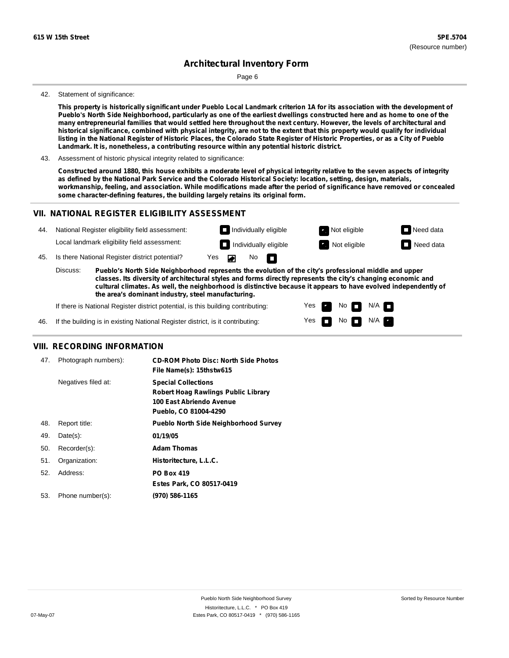Page 6

#### 42. Statement of significance:

This property is historically significant under Pueblo Local Landmark criterion 1A for its association with the development of Pueblo's North Side Neighborhood, particularly as one of the earliest dwellings constructed here and as home to one of the many entrepreneurial families that would settled here throughout the next century. However, the levels of architectural and historical significance, combined with physical integrity, are not to the extent that this property would qualify for individual listing in the National Register of Historic Places, the Colorado State Register of Historic Properties, or as a City of Pueblo **Landmark. It is, nonetheless, a contributing resource within any potential historic district.**

43. Assessment of historic physical integrity related to significance:

Constructed around 1880, this house exhibits a moderate level of physical integrity relative to the seven aspects of integrity as defined by the National Park Service and the Colorado Historical Society: location, setting, design, materials, workmanship, feeling, and association. While modifications made after the period of significance have removed or concealed **some character-defining features, the building largely retains its original form.**

### **VII. NATIONAL REGISTER ELIGIBILITY ASSESSMENT**

| 44. |                                                                                                                                                                                                                                                                                                                                                       | National Register eligibility field assessment: |                          |  | $\Box$ Individually eligible |  | Not eligible | $\Box$ Need data |
|-----|-------------------------------------------------------------------------------------------------------------------------------------------------------------------------------------------------------------------------------------------------------------------------------------------------------------------------------------------------------|-------------------------------------------------|--------------------------|--|------------------------------|--|--------------|------------------|
|     |                                                                                                                                                                                                                                                                                                                                                       | Local landmark eligibility field assessment:    |                          |  | $\Box$ Individually eligible |  | Not eligible | Need data        |
| 45. | Is there National Register district potential?                                                                                                                                                                                                                                                                                                        |                                                 | No $\blacksquare$<br>Yes |  |                              |  |              |                  |
|     | Discuss:<br>Pueblo's North Side Neighborhood represents the evolution of the city's professional middle and upper<br>classes. Its diversity of architectural styles and forms directly represents the city's changing economic and<br>cultural climates. As well, the neighborhood is distinctive because it appears to have evolved independently of |                                                 |                          |  |                              |  |              |                  |

Yes Yes No

N/A N/A

**the area's dominant industry, steel manufacturing.**

If there is National Register district potential, is this building contributing:

46. If the building is in existing National Register district, is it contributing:

### **VIII. RECORDING INFORMATION**

| 47. | Photograph numbers): | <b>CD-ROM Photo Disc: North Side Photos</b><br>File Name(s): 15thstw615                                                |
|-----|----------------------|------------------------------------------------------------------------------------------------------------------------|
|     | Negatives filed at:  | <b>Special Collections</b><br>Robert Hoag Rawlings Public Library<br>100 East Abriendo Avenue<br>Pueblo, CO 81004-4290 |
| 48. | Report title:        | <b>Pueblo North Side Neighborhood Survey</b>                                                                           |
| 49. | $Date(s)$ :          | 01/19/05                                                                                                               |
| 50. | Recorder(s):         | <b>Adam Thomas</b>                                                                                                     |
| 51. | Organization:        | Historitecture, L.L.C.                                                                                                 |
| 52. | Address:             | <b>PO Box 419</b>                                                                                                      |
|     |                      | Estes Park, CO 80517-0419                                                                                              |
| 53. | Phone number(s):     | (970) 586-1165                                                                                                         |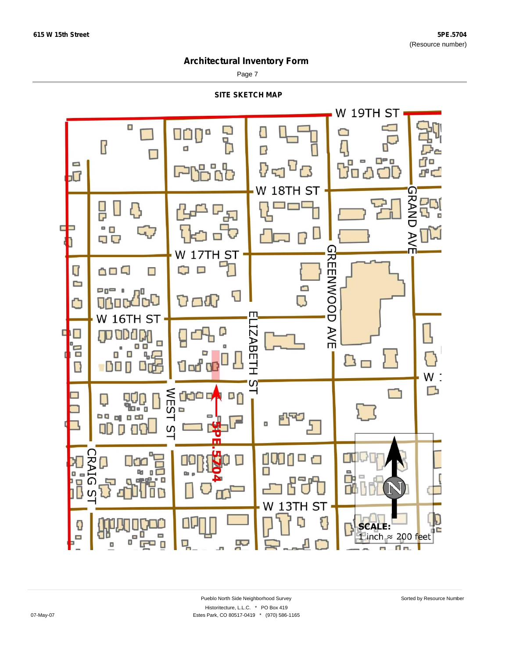Page 7